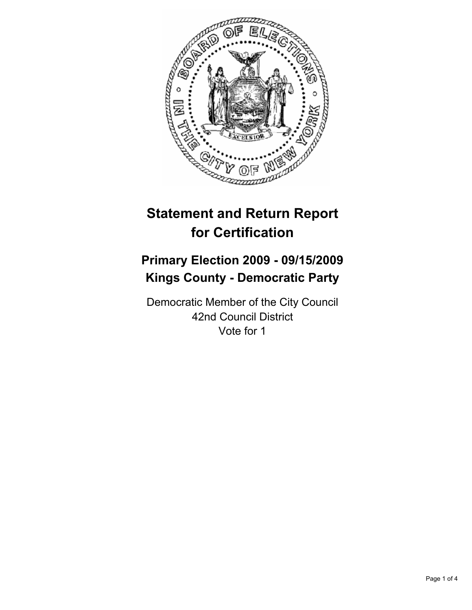

# **Statement and Return Report for Certification**

## **Primary Election 2009 - 09/15/2009 Kings County - Democratic Party**

Democratic Member of the City Council 42nd Council District Vote for 1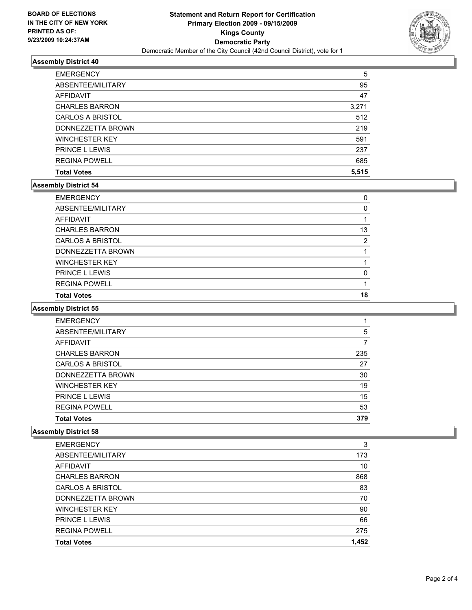

## **Assembly District 40**

| <b>EMERGENCY</b>        | 5     |
|-------------------------|-------|
| ABSENTEE/MILITARY       | 95    |
| AFFIDAVIT               | 47    |
| <b>CHARLES BARRON</b>   | 3,271 |
| <b>CARLOS A BRISTOL</b> | 512   |
| DONNEZZETTA BROWN       | 219   |
| <b>WINCHESTER KEY</b>   | 591   |
| <b>PRINCE L LEWIS</b>   | 237   |
| <b>REGINA POWELL</b>    | 685   |
| <b>Total Votes</b>      | 5.515 |

#### **Assembly District 54**

| <b>PRINCE L LEWIS</b>   | 0  |
|-------------------------|----|
| <b>WINCHESTER KEY</b>   |    |
| DONNEZZETTA BROWN       |    |
| <b>CARLOS A BRISTOL</b> | 2  |
| <b>CHARLES BARRON</b>   | 13 |
| AFFIDAVIT               |    |
| ABSENTEE/MILITARY       | 0  |
| <b>EMERGENCY</b>        | 0  |

#### **Assembly District 55**

| <b>EMERGENCY</b>        |     |
|-------------------------|-----|
| ABSENTEE/MILITARY       | 5   |
| <b>AFFIDAVIT</b>        | 7   |
| <b>CHARLES BARRON</b>   | 235 |
| <b>CARLOS A BRISTOL</b> | 27  |
| DONNEZZETTA BROWN       | 30  |
| <b>WINCHESTER KEY</b>   | 19  |
| <b>PRINCE L LEWIS</b>   | 15  |
| <b>REGINA POWELL</b>    | 53  |
| <b>Total Votes</b>      | 379 |

## **Assembly District 58**

| <b>EMERGENCY</b>        | 3     |
|-------------------------|-------|
| ABSENTEE/MILITARY       | 173   |
| <b>AFFIDAVIT</b>        | 10    |
| <b>CHARLES BARRON</b>   | 868   |
| <b>CARLOS A BRISTOL</b> | 83    |
| DONNEZZETTA BROWN       | 70    |
| <b>WINCHESTER KEY</b>   | 90    |
| <b>PRINCE L LEWIS</b>   | 66    |
| <b>REGINA POWELL</b>    | 275   |
| <b>Total Votes</b>      | 1,452 |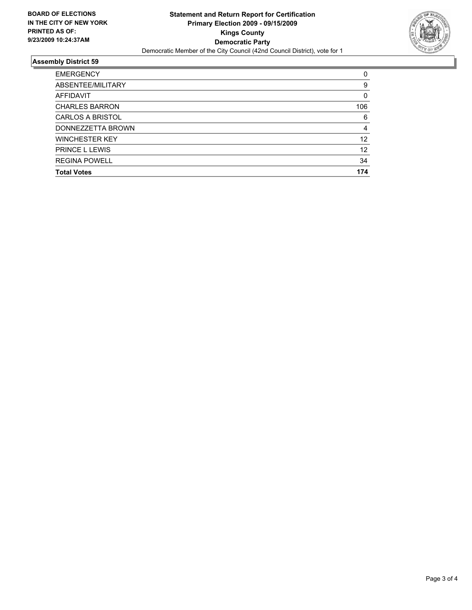

## **Assembly District 59**

| <b>EMERGENCY</b>        | 0   |
|-------------------------|-----|
| ABSENTEE/MILITARY       | 9   |
| <b>AFFIDAVIT</b>        | 0   |
| <b>CHARLES BARRON</b>   | 106 |
| <b>CARLOS A BRISTOL</b> | 6   |
| DONNEZZETTA BROWN       | 4   |
| <b>WINCHESTER KEY</b>   | 12  |
| <b>PRINCE L LEWIS</b>   | 12  |
| <b>REGINA POWELL</b>    | 34  |
| <b>Total Votes</b>      | 174 |